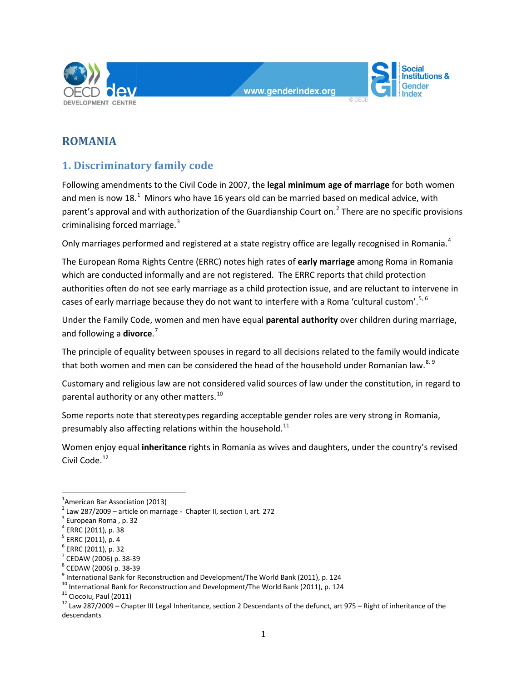



# **ROMANIA**

## **1. Discriminatory family code**

Following amendments to the Civil Code in 2007, the **legal minimum age of marriage** for both women and men is now [1](#page-0-0)8.<sup>1</sup> Minors who have 16 years old can be married based on medical advice, with parent's approval and with authorization of the Guardianship Court on.<sup>[2](#page-0-1)</sup> There are no specific provisions criminalising forced marriage.<sup>[3](#page-0-2)</sup>

Only marriages performed and registered at a state registry office are legally recognised in Romania.<sup>[4](#page-0-3)</sup>

The European Roma Rights Centre (ERRC) notes high rates of **early marriage** among Roma in Romania which are conducted informally and are not registered. The ERRC reports that child protection authorities often do not see early marriage as a child protection issue, and are reluctant to intervene in cases of early marriage because they do not want to interfere with a Roma 'cultural custom'.<sup>[5](#page-0-4), [6](#page-0-5)</sup>

Under the Family Code, women and men have equal **parental authority** over children during marriage, and following a **divorce**. [7](#page-0-6)

The principle of equality between spouses in regard to all decisions related to the family would indicate that both women and men can be considered the head of the household under Romanian law. $8,9$  $8,9$  $8,9$ 

Customary and religious law are not considered valid sources of law under the constitution, in regard to parental authority or any other matters.<sup>[10](#page-0-9)</sup>

Some reports note that stereotypes regarding acceptable gender roles are very strong in Romania, presumably also affecting relations within the household. $^{11}$  $^{11}$  $^{11}$ 

Women enjoy equal **inheritance** rights in Romania as wives and daughters, under the country's revised Civil Code.<sup>[12](#page-0-11)</sup>

 $\frac{1}{1}$ 

<span id="page-0-0"></span><sup>&</sup>lt;sup>1</sup>American Bar Association (2013)<br><sup>2</sup> Law 287/2009 – article on marriage - Chapter II, section I, art. 272

<span id="page-0-3"></span><span id="page-0-2"></span>

<span id="page-0-4"></span>

<span id="page-0-5"></span>

<span id="page-0-6"></span>

<span id="page-0-7"></span>

<span id="page-0-8"></span>

<span id="page-0-9"></span>

<span id="page-0-11"></span><span id="page-0-10"></span>

<span id="page-0-1"></span><sup>&</sup>lt;sup>2</sup> Law 287/2009 – article on marriage - Chapter II, section I, art. 272<br><sup>3</sup> European Roma , p. 32<br><sup>4</sup> ERRC (2011), p. 38<br><sup>5</sup> ERRC (2011), p. 32<br><sup>6</sup> ERRC (2011), p. 32<br><sup>8</sup> CEDAW (2006) p. 38-39<br><sup>8</sup> CEDAW (2006) p. 38-39<br><sup>3</sup> descendants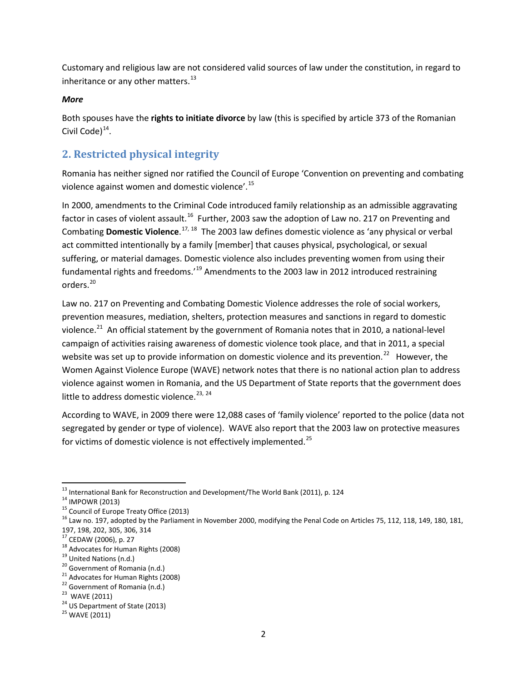Customary and religious law are not considered valid sources of law under the constitution, in regard to inheritance or any other matters. $^{13}$  $^{13}$  $^{13}$ 

#### *More*

Both spouses have the **rights to initiate divorce** by law (this is specified by article 373 of the Romanian Civil Code $)^{14}$ .

## **2. Restricted physical integrity**

Romania has neither signed nor ratified the Council of Europe 'Convention on preventing and combating violence against women and domestic violence'.[15](#page-1-2)

In 2000, amendments to the Criminal Code introduced family relationship as an admissible aggravating factor in cases of violent assault.<sup>16</sup> Further, 2003 saw the adoption of Law no. 217 on Preventing and Combating **Domestic Violence**. [17](#page-1-4), [18](#page-1-5) The 2003 law defines domestic violence as 'any physical or verbal act committed intentionally by a family [member] that causes physical, psychological, or sexual suffering, or material damages. Domestic violence also includes preventing women from using their fundamental rights and freedoms.<sup>'[19](#page-1-6)</sup> Amendments to the 2003 law in 2012 introduced restraining orders.[20](#page-1-7)

Law no. 217 on Preventing and Combating Domestic Violence addresses the role of social workers, prevention measures, mediation, shelters, protection measures and sanctions in regard to domestic violence.<sup>[21](#page-1-8)</sup> An official statement by the government of Romania notes that in 2010, a national-level campaign of activities raising awareness of domestic violence took place, and that in 2011, a special website was set up to provide information on domestic violence and its prevention.<sup>22</sup> However, the Women Against Violence Europe (WAVE) network notes that there is no national action plan to address violence against women in Romania, and the US Department of State reports that the government does little to address domestic violence.<sup>[23](#page-1-10), [24](#page-1-11)</sup>

According to WAVE, in 2009 there were 12,088 cases of 'family violence' reported to the police (data not segregated by gender or type of violence). WAVE also report that the 2003 law on protective measures for victims of domestic violence is not effectively implemented.<sup>[25](#page-1-12)</sup>

<span id="page-1-3"></span><span id="page-1-2"></span>

<span id="page-1-1"></span><span id="page-1-0"></span><sup>&</sup>lt;sup>13</sup> International Bank for Reconstruction and Development/The World Bank (2011), p. 124<br><sup>14</sup> IMPOWR (2013)<br><sup>15</sup> Council of Europe Treaty Office (2013)<br><sup>15</sup> Law no. 197, adopted by the Parliament in November 2000, modifyi 197, 198, 202, 305, 306, 314<br><sup>17</sup> CEDAW (2006), p. 27

<span id="page-1-8"></span><span id="page-1-7"></span>

<span id="page-1-6"></span><span id="page-1-5"></span><span id="page-1-4"></span><sup>&</sup>lt;sup>18</sup> Advocates for Human Rights (2008)<br><sup>19</sup> United Nations (n.d.)<br><sup>20</sup> Government of Romania (n.d.)<br><sup>21</sup> Advocates for Human Rights (2008)<br><sup>22</sup> Government of Romania (n.d.)<br><sup>23</sup> WAVE (2011)<br><sup>24</sup> US Department of State (20

<span id="page-1-10"></span><span id="page-1-9"></span>

<span id="page-1-12"></span><span id="page-1-11"></span>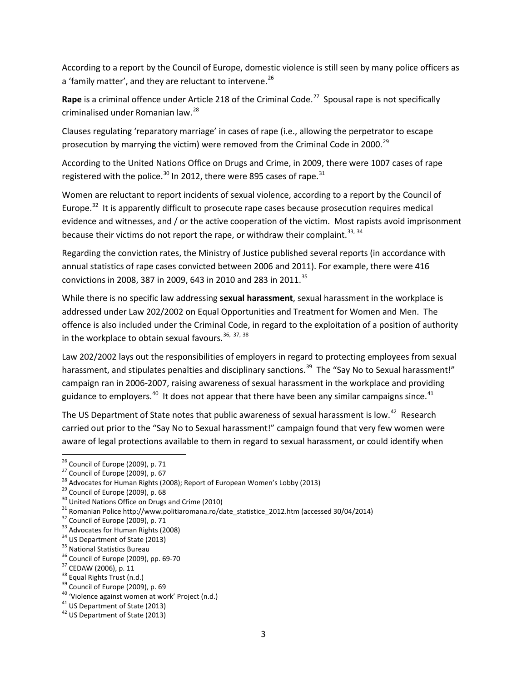According to a report by the Council of Europe, domestic violence is still seen by many police officers as a 'family matter', and they are reluctant to intervene. $^{26}$  $^{26}$  $^{26}$ 

**Rape** is a criminal offence under Article 218 of the Criminal Code.<sup>[27](#page-2-1)</sup> Spousal rape is not specifically criminalised under Romanian law.[28](#page-2-2)

Clauses regulating 'reparatory marriage' in cases of rape (i.e., allowing the perpetrator to escape prosecution by marrying the victim) were removed from the Criminal Code in 2000.<sup>[29](#page-2-3)</sup>

According to the United Nations Office on Drugs and Crime, in 2009, there were 1007 cases of rape registered with the police.<sup>[30](#page-2-4)</sup> In 2012, there were 895 cases of rape.<sup>[31](#page-2-5)</sup>

Women are reluctant to report incidents of sexual violence, according to a report by the Council of Europe.<sup>[32](#page-2-6)</sup> It is apparently difficult to prosecute rape cases because prosecution requires medical evidence and witnesses, and / or the active cooperation of the victim. Most rapists avoid imprisonment because their victims do not report the rape, or withdraw their complaint.<sup>[33,](#page-2-7) [34](#page-2-8)</sup>

Regarding the conviction rates, the Ministry of Justice published several reports (in accordance with annual statistics of rape cases convicted between 2006 and 2011). For example, there were 416 convictions in 2008, 387 in 2009, 643 in 2010 and 283 in 2011.<sup>[35](#page-2-9)</sup>

While there is no specific law addressing **sexual harassment**, sexual harassment in the workplace is addressed under Law 202/2002 on Equal Opportunities and Treatment for Women and Men. The offence is also included under the Criminal Code, in regard to the exploitation of a position of authority in the workplace to obtain sexual favours.  $36, 37, 38$  $36, 37, 38$  $36, 37, 38$  $36, 37, 38$  $36, 37, 38$ 

Law 202/2002 lays out the responsibilities of employers in regard to protecting employees from sexual harassment, and stipulates penalties and disciplinary sanctions.<sup>39</sup> The "Say No to Sexual harassment!" campaign ran in 2006-2007, raising awareness of sexual harassment in the workplace and providing guidance to employers.<sup>[40](#page-2-14)</sup> It does not appear that there have been any similar campaigns since.<sup>[41](#page-2-15)</sup>

The US Department of State notes that public awareness of sexual harassment is low.<sup>[42](#page-2-16)</sup> Research carried out prior to the "Say No to Sexual harassment!" campaign found that very few women were aware of legal protections available to them in regard to sexual harassment, or could identify when

<span id="page-2-0"></span>

<span id="page-2-1"></span>

<span id="page-2-2"></span>

<span id="page-2-3"></span>

<span id="page-2-5"></span><span id="page-2-4"></span>

<sup>&</sup>lt;sup>26</sup> Council of Europe (2009), p. 71<br>
<sup>27</sup> Council of Europe (2009), p. 67<br>
<sup>28</sup> Council of Europe (2009), p. 67<br>
<sup>29</sup> Council of Europe (2009), p. 68<br>
<sup>30</sup> United Nations Office on Drugs and Crime (2010)<br>
<sup>31</sup> Romanian P

<span id="page-2-6"></span>

<span id="page-2-8"></span><span id="page-2-7"></span>

<span id="page-2-9"></span>

<span id="page-2-10"></span>

<span id="page-2-11"></span>

<span id="page-2-12"></span>

<span id="page-2-13"></span>

<span id="page-2-14"></span>

<span id="page-2-15"></span>

<span id="page-2-16"></span>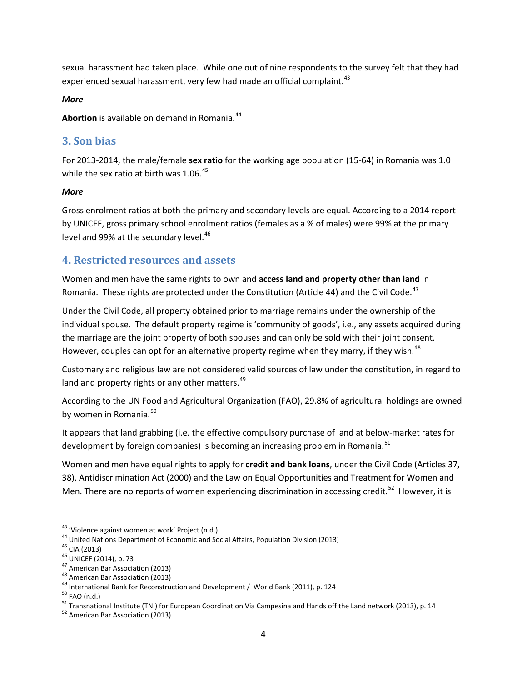sexual harassment had taken place. While one out of nine respondents to the survey felt that they had experienced sexual harassment, very few had made an official complaint.<sup>43</sup>

#### *More*

**Abortion** is available on demand in Romania.<sup>44</sup>

### **3. Son bias**

For 2013-2014, the male/female **sex ratio** for the working age population (15-64) in Romania was 1.0 while the sex ratio at birth was  $1.06<sup>45</sup>$  $1.06<sup>45</sup>$  $1.06<sup>45</sup>$ 

#### *More*

Gross enrolment ratios at both the primary and secondary levels are equal. According to a 2014 report by UNICEF, gross primary school enrolment ratios (females as a % of males) were 99% at the primary level and 99% at the secondary level.<sup>[46](#page-3-3)</sup>

## **4. Restricted resources and assets**

Women and men have the same rights to own and **access land and property other than land** in Romania. These rights are protected under the Constitution (Article 44) and the Civil Code.<sup>[47](#page-3-4)</sup>

Under the Civil Code, all property obtained prior to marriage remains under the ownership of the individual spouse. The default property regime is 'community of goods', i.e., any assets acquired during the marriage are the joint property of both spouses and can only be sold with their joint consent. However, couples can opt for an alternative property regime when they marry, if they wish. $48$ 

Customary and religious law are not considered valid sources of law under the constitution, in regard to land and property rights or any other matters.<sup>[49](#page-3-6)</sup>

According to the UN Food and Agricultural Organization (FAO), 29.8% of agricultural holdings are owned by women in Romania. [50](#page-3-7) 

It appears that land grabbing (i.e. the effective compulsory purchase of land at below-market rates for development by foreign companies) is becoming an increasing problem in Romania.<sup>51</sup>

Women and men have equal rights to apply for **credit and bank loans**, under the Civil Code (Articles 37, 38), Antidiscrimination Act (2000) and the Law on Equal Opportunities and Treatment for Women and Men. There are no reports of women experiencing discrimination in accessing credit.<sup>[52](#page-3-9)</sup> However, it is

<span id="page-3-1"></span><span id="page-3-0"></span>

<span id="page-3-2"></span>

<span id="page-3-3"></span>

<span id="page-3-4"></span>

<span id="page-3-5"></span>

<span id="page-3-6"></span>

<span id="page-3-8"></span><span id="page-3-7"></span>

<sup>&</sup>lt;sup>43</sup><br><sup>44</sup> United Nations Department of Economic and Social Affairs, Population Division (2013)<br><sup>45</sup> CIA (2013)<br><sup>46</sup> UNICEF (2014), p. 73<br><sup>46</sup> American Bar Association (2013)<br><sup>48</sup> American Bar Association (2013)<br><sup>48</sup> Americ

<span id="page-3-9"></span>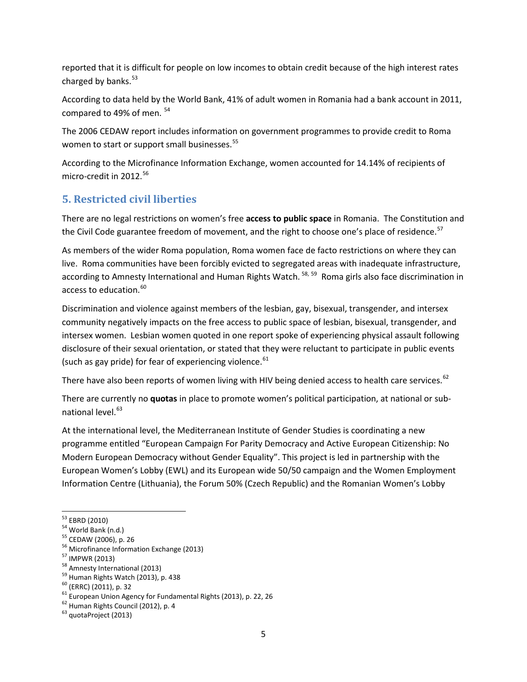reported that it is difficult for people on low incomes to obtain credit because of the high interest rates charged by banks. $53$ 

According to data held by the World Bank, 41% of adult women in Romania had a bank account in 2011, compared to 49% of men.  $54$ 

The 2006 CEDAW report includes information on government programmes to provide credit to Roma women to start or support small businesses.<sup>[55](#page-4-2)</sup>

According to the Microfinance Information Exchange, women accounted for 14.14% of recipients of micro-credit in 2012.<sup>[56](#page-4-3)</sup>

## **5. Restricted civil liberties**

There are no legal restrictions on women's free **access to public space** in Romania. The Constitution and the Civil Code guarantee freedom of movement, and the right to choose one's place of residence.<sup>[57](#page-4-4)</sup>

As members of the wider Roma population, Roma women face de facto restrictions on where they can live. Roma communities have been forcibly evicted to segregated areas with inadequate infrastructure, according to Amnesty International and Human Rights Watch.<sup>[58,](#page-4-5) [59](#page-4-6)</sup> Roma girls also face discrimination in access to education.<sup>[60](#page-4-7)</sup>

Discrimination and violence against members of the lesbian, gay, bisexual, transgender, and intersex community negatively impacts on the free access to public space of lesbian, bisexual, transgender, and intersex women. Lesbian women quoted in one report spoke of experiencing physical assault following disclosure of their sexual orientation, or stated that they were reluctant to participate in public events (such as gay pride) for fear of experiencing violence. $61$ 

There have also been reports of women living with HIV being denied access to health care services.<sup>[62](#page-4-9)</sup>

There are currently no **quotas** in place to promote women's political participation, at national or sub-national level.<sup>[63](#page-4-10)</sup>

At the international level, the Mediterranean Institute of Gender Studies is coordinating a new programme entitled "European Campaign For Parity Democracy and Active European Citizenship: No Modern European Democracy without Gender Equality". This project is led in partnership with the European Women's Lobby (EWL) and its European wide 50/50 campaign and the Women Employment Information Centre (Lithuania), the Forum 50% (Czech Republic) and the Romanian Women's Lobby

<span id="page-4-3"></span>

<span id="page-4-0"></span>

<span id="page-4-1"></span>

<span id="page-4-2"></span>

<span id="page-4-4"></span>

<span id="page-4-5"></span>

<span id="page-4-6"></span>

<span id="page-4-8"></span><span id="page-4-7"></span>

 $\begin{array}{l} \vspace{2mm}^{53} \text{EBRD (2010)}\\ \vspace{2mm}^{54} \text{ World Bank (n.d.)}\\ \vspace{2mm}^{55} \text{ CEDAW (2006), p. 26}\\ \vspace{2mm}^{56} \text{ Microfinance Information Exchange (2013)}\\ \vspace{2mm}^{57} \text{ IMPWR (2013)}\\ \vspace{2mm}^{58} \text{Ammetry International (2013)}\\ \vspace{2mm}^{59} \text{Human Rights Watch (2013), p. 438}\\ \vspace{2mm}^{60} \text{ (ERRC) (2011), p. 32}\\ \vspace{2mm}$ 

<span id="page-4-9"></span>

<span id="page-4-10"></span>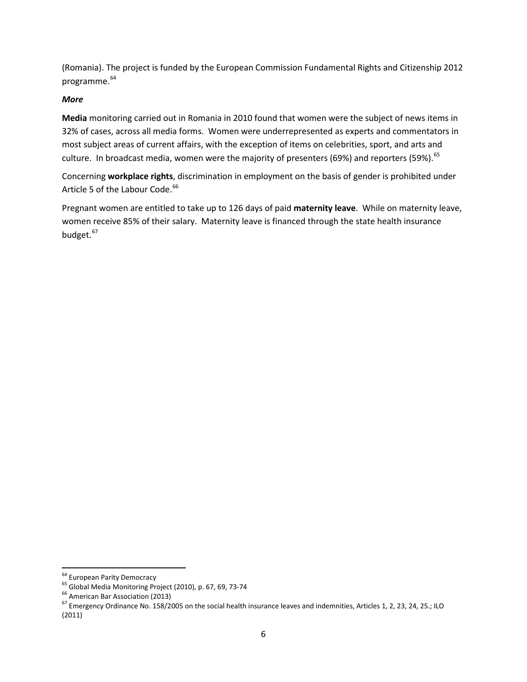(Romania). The project is funded by the European Commission Fundamental Rights and Citizenship 2012 programme.<sup>[64](#page-5-0)</sup>

#### *More*

**Media** monitoring carried out in Romania in 2010 found that women were the subject of news items in 32% of cases, across all media forms. Women were underrepresented as experts and commentators in most subject areas of current affairs, with the exception of items on celebrities, sport, and arts and culture. In broadcast media, women were the majority of presenters (69%) and reporters (59%).  $65$ 

Concerning **workplace rights**, discrimination in employment on the basis of gender is prohibited under Article 5 of the Labour Code.<sup>[66](#page-5-2)</sup>

Pregnant women are entitled to take up to 126 days of paid **maternity leave**. While on maternity leave, women receive 85% of their salary. Maternity leave is financed through the state health insurance budget.<sup>67</sup>

<span id="page-5-2"></span>

<span id="page-5-3"></span>

<span id="page-5-1"></span><span id="page-5-0"></span><sup>&</sup>lt;sup>64</sup> European Parity Democracy<br><sup>65</sup> Global Media Monitoring Project (2010), p. 67, 69, 73-74<br><sup>66</sup> American Bar Association (2013)<br><sup>67</sup> Emergency Ordinance No. 158/2005 on the social health insurance leaves and indemnities (2011)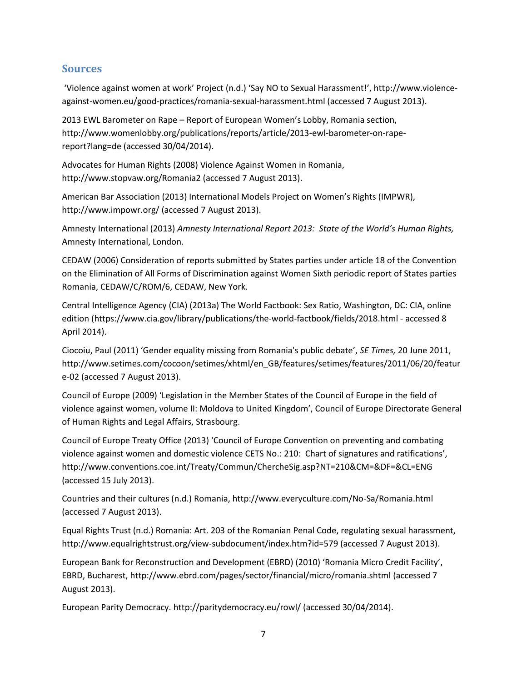### **Sources**

'Violence against women at work' Project (n.d.) 'Say NO to Sexual Harassment!', [http://www.violence](http://www.violence-against-women.eu/good-practices/romania-sexual-harassment.html)[against-women.eu/good-practices/romania-sexual-harassment.html](http://www.violence-against-women.eu/good-practices/romania-sexual-harassment.html) (accessed 7 August 2013).

2013 EWL Barometer on Rape – Report of European Women's Lobby, Romania section, [http://www.womenlobby.org/publications/reports/article/2013-ewl-barometer-on-rape](http://www.womenlobby.org/publications/reports/article/2013-ewl-barometer-on-rape-report?lang=de)[report?lang=de](http://www.womenlobby.org/publications/reports/article/2013-ewl-barometer-on-rape-report?lang=de) (accessed 30/04/2014).

Advocates for Human Rights (2008) Violence Against Women in Romania, <http://www.stopvaw.org/Romania2> (accessed 7 August 2013).

American Bar Association (2013) International Models Project on Women's Rights (IMPWR), <http://www.impowr.org/> (accessed 7 August 2013).

Amnesty International (2013) *Amnesty International Report 2013: State of the World's Human Rights,*  Amnesty International, London.

CEDAW (2006) Consideration of reports submitted by States parties under article 18 of the Convention on the Elimination of All Forms of Discrimination against Women Sixth periodic report of States parties Romania, CEDAW/C/ROM/6, CEDAW, New York.

Central Intelligence Agency (CIA) (2013a) The World Factbook: Sex Ratio, Washington, DC: CIA, online edition [\(https://www.cia.gov/library/publications/the-world-factbook/fields/2018.html](https://www.cia.gov/library/publications/the-world-factbook/fields/2018.html) - accessed 8 April 2014).

Ciocoiu, Paul (2011) 'Gender equality missing from Romania's public debate', *SE Times,* 20 June 2011, [http://www.setimes.com/cocoon/setimes/xhtml/en\\_GB/features/setimes/features/2011/06/20/featur](http://www.setimes.com/cocoon/setimes/xhtml/en_GB/features/setimes/features/2011/06/20/feature-02) [e-02](http://www.setimes.com/cocoon/setimes/xhtml/en_GB/features/setimes/features/2011/06/20/feature-02) (accessed 7 August 2013).

Council of Europe (2009) 'Legislation in the Member States of the Council of Europe in the field of violence against women, volume II: Moldova to United Kingdom', Council of Europe Directorate General of Human Rights and Legal Affairs, Strasbourg.

Council of Europe Treaty Office (2013) 'Council of Europe Convention on preventing and combating violence against women and domestic violence CETS No.: 210: Chart of signatures and ratifications', <http://www.conventions.coe.int/Treaty/Commun/ChercheSig.asp?NT=210&CM=&DF=&CL=ENG> (accessed 15 July 2013).

Countries and their cultures (n.d.) Romania,<http://www.everyculture.com/No-Sa/Romania.html> (accessed 7 August 2013).

Equal Rights Trust (n.d.) Romania: Art. 203 of the Romanian Penal Code, regulating sexual harassment, <http://www.equalrightstrust.org/view-subdocument/index.htm?id=579> (accessed 7 August 2013).

European Bank for Reconstruction and Development (EBRD) (2010) 'Romania Micro Credit Facility', EBRD, Bucharest,<http://www.ebrd.com/pages/sector/financial/micro/romania.shtml> (accessed 7 August 2013).

European Parity Democracy[. http://paritydemocracy.eu/rowl/](http://paritydemocracy.eu/rowl/) (accessed 30/04/2014).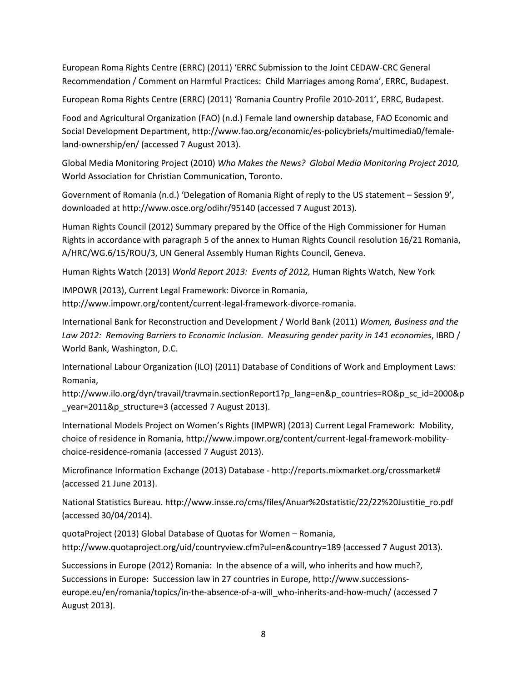European Roma Rights Centre (ERRC) (2011) 'ERRC Submission to the Joint CEDAW-CRC General Recommendation / Comment on Harmful Practices: Child Marriages among Roma', ERRC, Budapest.

European Roma Rights Centre (ERRC) (2011) 'Romania Country Profile 2010-2011', ERRC, Budapest.

Food and Agricultural Organization (FAO) (n.d.) Female land ownership database, FAO Economic and Social Development Department, [http://www.fao.org/economic/es-policybriefs/multimedia0/female](http://www.fao.org/economic/es-policybriefs/multimedia0/female-land-ownership/en/)[land-ownership/en/](http://www.fao.org/economic/es-policybriefs/multimedia0/female-land-ownership/en/) (accessed 7 August 2013).

Global Media Monitoring Project (2010) *Who Makes the News? Global Media Monitoring Project 2010,*  World Association for Christian Communication, Toronto.

Government of Romania (n.d.) 'Delegation of Romania Right of reply to the US statement – Session 9', downloaded at<http://www.osce.org/odihr/95140> (accessed 7 August 2013).

Human Rights Council (2012) Summary prepared by the Office of the High Commissioner for Human Rights in accordance with paragraph 5 of the annex to Human Rights Council resolution 16/21 Romania, A/HRC/WG.6/15/ROU/3, UN General Assembly Human Rights Council, Geneva.

Human Rights Watch (2013) *World Report 2013: Events of 2012,* Human Rights Watch, New York

IMPOWR (2013), Current Legal Framework: Divorce in Romania, [http://www.impowr.org/content/current-legal-framework-divorce-romania.](http://www.impowr.org/content/current-legal-framework-divorce-romania)

International Bank for Reconstruction and Development / World Bank (2011) *Women, Business and the Law 2012: Removing Barriers to Economic Inclusion. Measuring gender parity in 141 economies*, IBRD / World Bank, Washington, D.C.

International Labour Organization (ILO) (2011) Database of Conditions of Work and Employment Laws: Romania,

[http://www.ilo.org/dyn/travail/travmain.sectionReport1?p\\_lang=en&p\\_countries=RO&p\\_sc\\_id=2000&p](http://www.ilo.org/dyn/travail/travmain.sectionReport1?p_lang=en&p_countries=RO&p_sc_id=2000&p_year=2011&p_structure=3) [\\_year=2011&p\\_structure=3](http://www.ilo.org/dyn/travail/travmain.sectionReport1?p_lang=en&p_countries=RO&p_sc_id=2000&p_year=2011&p_structure=3) (accessed 7 August 2013).

International Models Project on Women's Rights (IMPWR) (2013) Current Legal Framework: Mobility, choice of residence in Romania, [http://www.impowr.org/content/current-legal-framework-mobility](http://www.impowr.org/content/current-legal-framework-mobility-choice-residence-romania)[choice-residence-romania](http://www.impowr.org/content/current-legal-framework-mobility-choice-residence-romania) (accessed 7 August 2013).

Microfinance Information Exchange (2013) Database - [http://reports.mixmarket.org/crossmarket#](http://reports.mixmarket.org/crossmarket) (accessed 21 June 2013).

National Statistics Bureau. [http://www.insse.ro/cms/files/Anuar%20statistic/22/22%20Justitie\\_ro.pdf](http://www.insse.ro/cms/files/Anuar%20statistic/22/22%20Justitie_ro.pdf) (accessed 30/04/2014).

quotaProject (2013) Global Database of Quotas for Women – Romania, <http://www.quotaproject.org/uid/countryview.cfm?ul=en&country=189> (accessed 7 August 2013).

Successions in Europe (2012) Romania: In the absence of a will, who inherits and how much?, Successions in Europe: Succession law in 27 countries in Europe[, http://www.successions](http://www.successions-europe.eu/en/romania/topics/in-the-absence-of-a-will_who-inherits-and-how-much/)[europe.eu/en/romania/topics/in-the-absence-of-a-will\\_who-inherits-and-how-much/](http://www.successions-europe.eu/en/romania/topics/in-the-absence-of-a-will_who-inherits-and-how-much/) (accessed 7 August 2013).